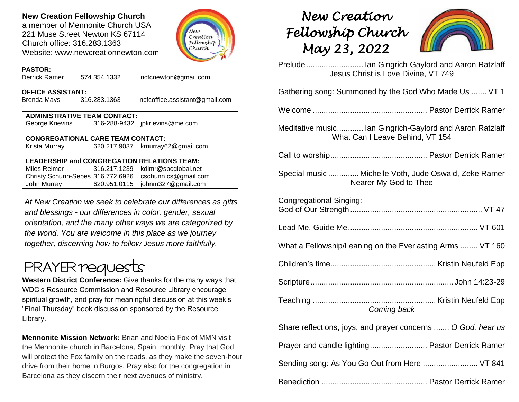## **New Creation Fellowship Church**

a member of Mennonite Church USA 221 Muse Street Newton KS 67114 Church office: 316.283.1363 Website: www.newcreationnewton.com



#### **PASTOR:**

Derrick Ramer 574.354.1332 [ncfcnewton@gmail.com](mailto:ncfcnewton@gmail.com)

#### **OFFICE ASSISTANT:**

Brenda Mays 316.283.1363 ncfcoffice.assistant@gmail.com

| <b>ADMINISTRATIVE TEAM CONTACT:</b> |  |                                |  |  |  |
|-------------------------------------|--|--------------------------------|--|--|--|
| George Krievins                     |  | 316-288-9432 jpkrievins@me.com |  |  |  |

#### **CONGREGATIONAL CARE TEAM CONTACT:**

Krista Murray 620.217.9037 [kmurray62@gmail.com](mailto:kmurray62@gmail.com)

### **LEADERSHIP and CONGREGATION RELATIONS TEAM:**

Miles Reimer [316.217.1239](mailto:316.217.1239) kdlmr@sbcglobal.net Christy Schunn-Sebes 316.772.6926 cschunn.cs@gmail.com John Murray 620.951.0115 johnm327@gmail.com

*At New Creation we seek to celebrate our differences as gifts and blessings - our differences in color, gender, sexual orientation, and the many other ways we are categorized by the world. You are welcome in this place as we journey together, discerning how to follow Jesus more faithfully.*

# **PRAYER requests**

**Western District Conference:** Give thanks for the many ways that WDC's Resource Commission and Resource Library encourage spiritual growth, and pray for meaningful discussion at this week's "Final Thursday" book discussion sponsored by the Resource Library.

**Mennonite Mission Network:** Brian and Noelia Fox of MMN visit the Mennonite church in Barcelona, Spain, monthly. Pray that God will protect the Fox family on the roads, as they make the seven-hour drive from their home in Burgos. Pray also for the congregation in Barcelona as they discern their next avenues of ministry.

# *New Creation Fellowship Church May 23, 2022*



Prelude.......................... Ian Gingrich-Gaylord and Aaron Ratzlaff Jesus Christ is Love Divine, VT 749 Gathering song: Summoned by the God Who Made Us ....... VT 1 Welcome .................................................... Pastor Derrick Ramer Meditative music............ Ian Gingrich-Gaylord and Aaron Ratzlaff What Can I Leave Behind, VT 154 Call to worship............................................ Pastor Derrick Ramer Special music .............. Michelle Voth, Jude Oswald, Zeke Ramer Nearer My God to Thee Congregational Singing: God of Our Strength............................................................ VT 47 Lead Me, Guide Me........................................................... VT 601 What a Fellowship/Leaning on the Everlasting Arms ........ VT 160 Children's time................................................ Kristin Neufeld Epp Scripture.................................................................John 14:23-29 Teaching ........................................................ Kristin Neufeld Epp *Coming back* Share reflections, joys, and prayer concerns ....... *O God, hear us* Prayer and candle lighting.......................... Pastor Derrick Ramer Sending song: As You Go Out from Here ......................... VT 841

Benediction ................................................ Pastor Derrick Ramer